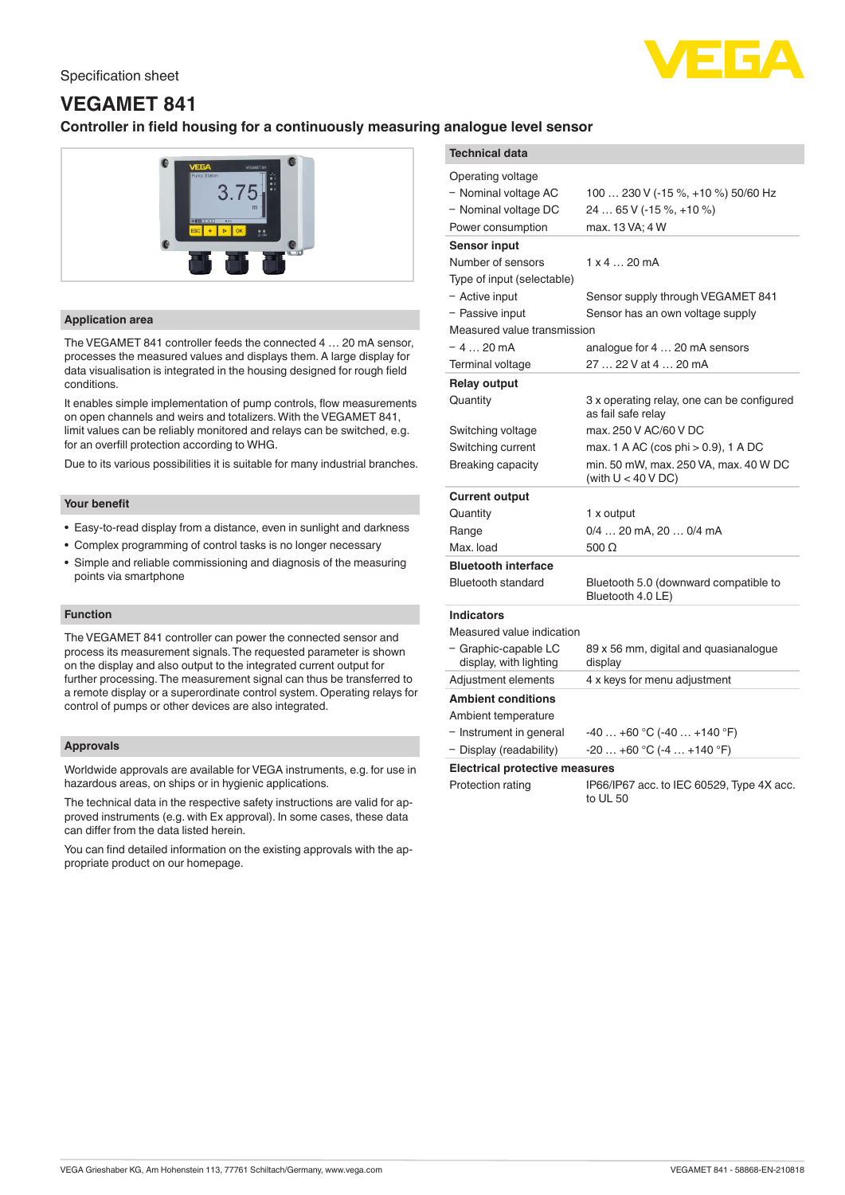# Specification sheet



# **VEGAMET 841**

# **Controller in field housing for a continuously measuring**



# **Application area**

The VEGAMET 841 controller feeds the connected 4 … 20 mA sensor, processes the measured values and displays them. A large display for data visualisation is integrated in the housing designed for rough field conditions.

It enables simple implementation of pump controls, flow measurements on open channels and weirs and totalizers. With the VEGAMET 841, limit values can be reliably monitored and relays can be switched, e.g. for an overfill protection according to WHG.

Due to its various possibilities it is suitable for many industrial branches.

## **Your benefit**

- Easy-to-read display from a distance, even in sunlight and darkness
- Complex programming of control tasks is no longer necessary
- Simple and reliable commissioning and diagnosis of the measuring points via smartphone

# **Function**

The VEGAMET 841 controller can power the connected sensor and process its measurement signals. The requested parameter is shown on the display and also output to the integrated current output for further processing. The measurement signal can thus be transferred to a remote display or a superordinate control system. Operating relays for control of pumps or other devices are also integrated.

## **Approvals**

Worldwide approvals are available for VEGA instruments, e.g. for use in hazardous areas, on ships or in hygienic applications.

The technical data in the respective safety instructions are valid for approved instruments (e.g. with Ex approval). In some cases, these data can differ from the data listed herein.

You can find detailed information on the existing approvals with the appropriate product on our homepage.

| analogue level sensor                                                                                                   |                                                                                                                               |
|-------------------------------------------------------------------------------------------------------------------------|-------------------------------------------------------------------------------------------------------------------------------|
| <b>Technical data</b>                                                                                                   |                                                                                                                               |
| Operating voltage<br>- Nominal voltage AC<br>- Nominal voltage DC<br>Power consumption                                  | 100  230 V (-15 %, +10 %) 50/60 Hz<br>24  65 V (-15 %, +10 %)<br>max. 13 VA; 4 W                                              |
| <b>Sensor input</b><br>Number of sensors<br>Type of input (selectable)                                                  | $1 \times 4 20$ mA                                                                                                            |
| - Active input<br>- Passive input<br>Measured value transmission                                                        | Sensor supply through VEGAMET 841<br>Sensor has an own voltage supply                                                         |
| $-420mA$<br>Terminal voltage                                                                                            | analogue for 4  20 mA sensors<br>27  22 V at 4  20 mA                                                                         |
| <b>Relay output</b><br>Quantity                                                                                         | 3 x operating relay, one can be configured<br>as fail safe relay                                                              |
| Switching voltage<br>Switching current<br>Breaking capacity                                                             | max. 250 V AC/60 V DC<br>max. 1 A AC (cos phi > 0.9), 1 A DC<br>min. 50 mW, max. 250 VA, max. 40 W DC<br>(with $U < 40 VDC$ ) |
| <b>Current output</b><br>Quantity<br>Range<br>Max. load                                                                 | 1 x output<br>0/4  20 mA, 20  0/4 mA<br>500 $\Omega$                                                                          |
| <b>Bluetooth interface</b><br><b>Bluetooth standard</b>                                                                 | Bluetooth 5.0 (downward compatible to<br>Bluetooth 4.0 LE)                                                                    |
| <b>Indicators</b><br>Measured value indication<br>- Graphic-capable LC<br>display, with lighting<br>Adjustment elements | 89 x 56 mm, digital and quasianalogue<br>display<br>4 x keys for menu adjustment                                              |
| <b>Ambient conditions</b><br>Ambient temperature<br>- Instrument in general<br>- Display (readability)                  | $-40+60$ °C ( $-40+140$ °F)<br>$-20+60$ °C $(-4+140$ °F)                                                                      |
| <b>Electrical protective measures</b>                                                                                   |                                                                                                                               |

Protection rating IP66/IP67 acc. to IEC 60529, Type 4X acc.  $t_0$  III 50